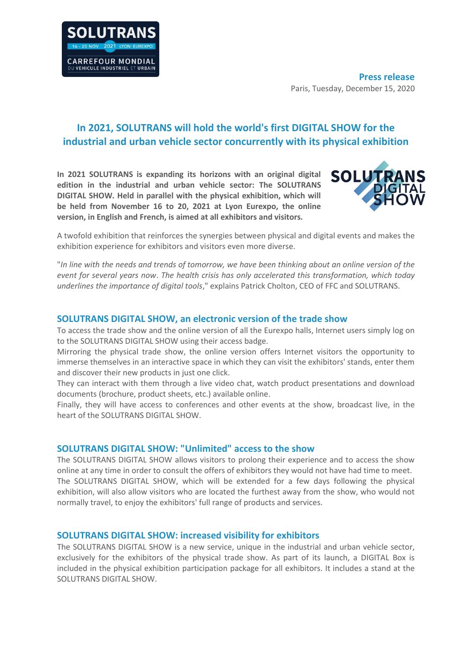

# **In 2021, SOLUTRANS will hold the world's first DIGITAL SHOW for the industrial and urban vehicle sector concurrently with its physical exhibition**

**In 2021 SOLUTRANS is expanding its horizons with an original digital edition in the industrial and urban vehicle sector: The SOLUTRANS DIGITAL SHOW. Held in parallel with the physical exhibition, which will be held from November 16 to 20, 2021 at Lyon Eurexpo, the online version, in English and French, is aimed at all exhibitors and visitors.** 



A twofold exhibition that reinforces the synergies between physical and digital events and makes the exhibition experience for exhibitors and visitors even more diverse.

"*In line with the needs and trends of tomorrow, we have been thinking about an online version of the event for several years now*. *The health crisis has only accelerated this transformation, which today underlines the importance of digital tools*," explains Patrick Cholton, CEO of FFC and SOLUTRANS.

### **SOLUTRANS DIGITAL SHOW, an electronic version of the trade show**

To access the trade show and the online version of all the Eurexpo halls, Internet users simply log on to the SOLUTRANS DIGITAL SHOW using their access badge.

Mirroring the physical trade show, the online version offers Internet visitors the opportunity to immerse themselves in an interactive space in which they can visit the exhibitors' stands, enter them and discover their new products in just one click.

They can interact with them through a live video chat, watch product presentations and download documents (brochure, product sheets, etc.) available online.

Finally, they will have access to conferences and other events at the show, broadcast live, in the heart of the SOLUTRANS DIGITAL SHOW.

## **SOLUTRANS DIGITAL SHOW: "Unlimited" access to the show**

The SOLUTRANS DIGITAL SHOW allows visitors to prolong their experience and to access the show online at any time in order to consult the offers of exhibitors they would not have had time to meet. The SOLUTRANS DIGITAL SHOW, which will be extended for a few days following the physical exhibition, will also allow visitors who are located the furthest away from the show, who would not normally travel, to enjoy the exhibitors' full range of products and services.

### **SOLUTRANS DIGITAL SHOW: increased visibility for exhibitors**

The SOLUTRANS DIGITAL SHOW is a new service, unique in the industrial and urban vehicle sector, exclusively for the exhibitors of the physical trade show. As part of its launch, a DIGITAL Box is included in the physical exhibition participation package for all exhibitors. It includes a stand at the SOLUTRANS DIGITAL SHOW.